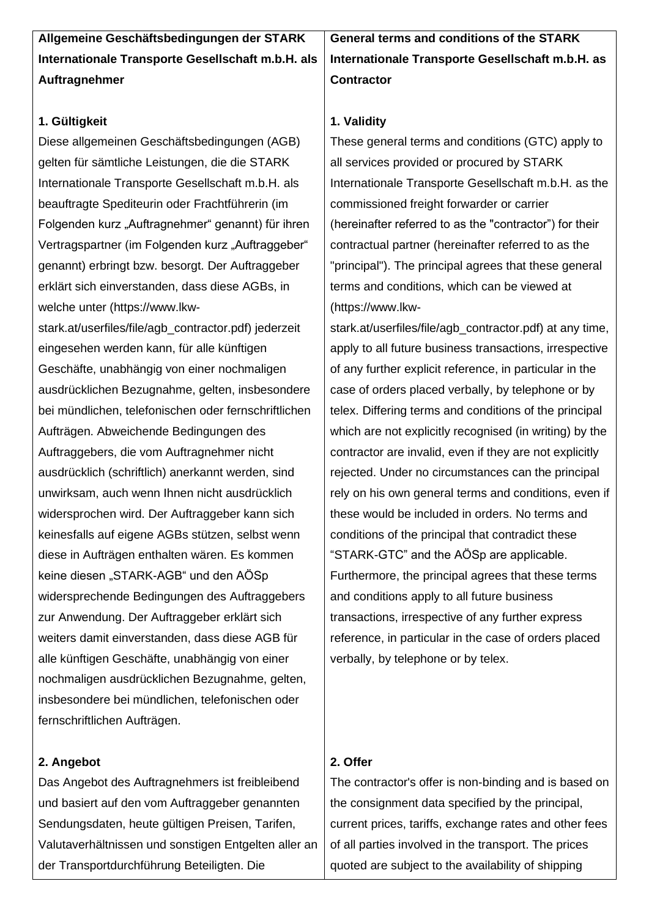**Allgemeine Geschäftsbedingungen der STARK Internationale Transporte Gesellschaft m.b.H. als Auftragnehmer**

## **1. Gültigkeit**

Diese allgemeinen Geschäftsbedingungen (AGB) gelten für sämtliche Leistungen, die die STARK Internationale Transporte Gesellschaft m.b.H. als beauftragte Spediteurin oder Frachtführerin (im Folgenden kurz "Auftragnehmer" genannt) für ihren Vertragspartner (im Folgenden kurz "Auftraggeber" genannt) erbringt bzw. besorgt. Der Auftraggeber erklärt sich einverstanden, dass diese AGBs, in welche unter (https://www.lkw-

stark.at/userfiles/file/agb\_contractor.pdf) jederzeit eingesehen werden kann, für alle künftigen Geschäfte, unabhängig von einer nochmaligen ausdrücklichen Bezugnahme, gelten, insbesondere bei mündlichen, telefonischen oder fernschriftlichen Aufträgen. Abweichende Bedingungen des Auftraggebers, die vom Auftragnehmer nicht ausdrücklich (schriftlich) anerkannt werden, sind unwirksam, auch wenn Ihnen nicht ausdrücklich widersprochen wird. Der Auftraggeber kann sich keinesfalls auf eigene AGBs stützen, selbst wenn diese in Aufträgen enthalten wären. Es kommen keine diesen "STARK-AGB" und den AÖSp widersprechende Bedingungen des Auftraggebers zur Anwendung. Der Auftraggeber erklärt sich weiters damit einverstanden, dass diese AGB für alle künftigen Geschäfte, unabhängig von einer nochmaligen ausdrücklichen Bezugnahme, gelten, insbesondere bei mündlichen, telefonischen oder fernschriftlichen Aufträgen.

## **2. Angebot**

Das Angebot des Auftragnehmers ist freibleibend und basiert auf den vom Auftraggeber genannten Sendungsdaten, heute gültigen Preisen, Tarifen, Valutaverhältnissen und sonstigen Entgelten aller an der Transportdurchführung Beteiligten. Die

**General terms and conditions of the STARK Internationale Transporte Gesellschaft m.b.H. as Contractor**

## **1. Validity**

These general terms and conditions (GTC) apply to all services provided or procured by STARK Internationale Transporte Gesellschaft m.b.H. as the commissioned freight forwarder or carrier (hereinafter referred to as the "contractor") for their contractual partner (hereinafter referred to as the "principal"). The principal agrees that these general terms and conditions, which can be viewed at (https://www.lkw-

stark.at/userfiles/file/agb\_contractor.pdf) at any time, apply to all future business transactions, irrespective of any further explicit reference, in particular in the case of orders placed verbally, by telephone or by telex. Differing terms and conditions of the principal which are not explicitly recognised (in writing) by the contractor are invalid, even if they are not explicitly rejected. Under no circumstances can the principal rely on his own general terms and conditions, even if these would be included in orders. No terms and conditions of the principal that contradict these "STARK-GTC" and the AÖSp are applicable. Furthermore, the principal agrees that these terms and conditions apply to all future business transactions, irrespective of any further express reference, in particular in the case of orders placed verbally, by telephone or by telex.

## **2. Offer**

The contractor's offer is non-binding and is based on the consignment data specified by the principal, current prices, tariffs, exchange rates and other fees of all parties involved in the transport. The prices quoted are subject to the availability of shipping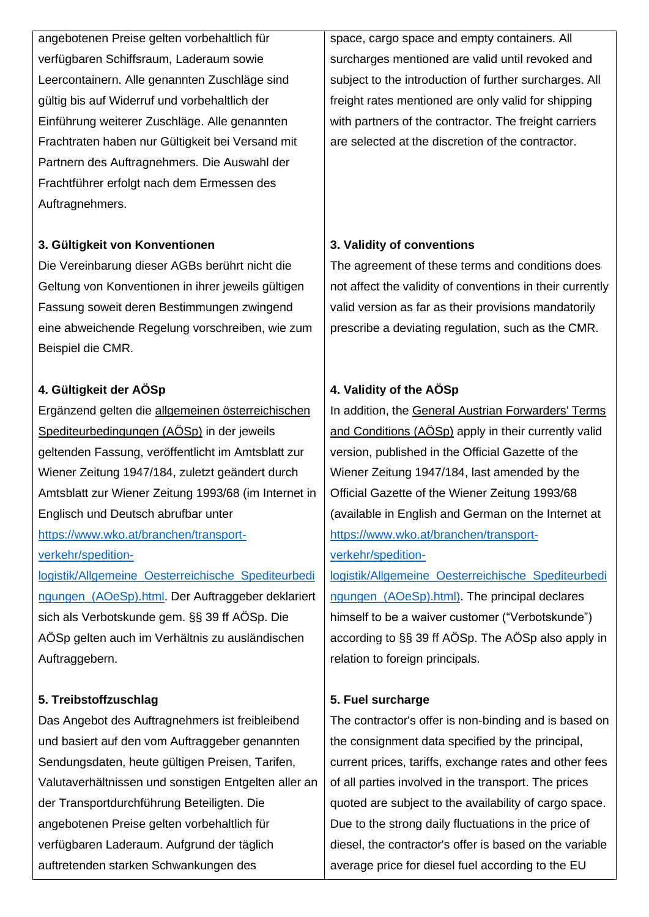angebotenen Preise gelten vorbehaltlich für verfügbaren Schiffsraum, Laderaum sowie Leercontainern. Alle genannten Zuschläge sind gültig bis auf Widerruf und vorbehaltlich der Einführung weiterer Zuschläge. Alle genannten Frachtraten haben nur Gültigkeit bei Versand mit Partnern des Auftragnehmers. Die Auswahl der Frachtführer erfolgt nach dem Ermessen des Auftragnehmers.

## **3. Gültigkeit von Konventionen**

Die Vereinbarung dieser AGBs berührt nicht die Geltung von Konventionen in ihrer jeweils gültigen Fassung soweit deren Bestimmungen zwingend eine abweichende Regelung vorschreiben, wie zum Beispiel die CMR.

# **4. Gültigkeit der AÖSp**

Ergänzend gelten die allgemeinen österreichischen Spediteurbedingungen (AÖSp) in der jeweils geltenden Fassung, veröffentlicht im Amtsblatt zur Wiener Zeitung 1947/184, zuletzt geändert durch Amtsblatt zur Wiener Zeitung 1993/68 (im Internet in Englisch und Deutsch abrufbar unter

[https://www.wko.at/branchen/transport](https://www.wko.at/branchen/transport-verkehr/spedition-logistik/Allgemeine_Oesterreichische_Spediteurbedingungen_(AOeSp).html)[verkehr/spedition-](https://www.wko.at/branchen/transport-verkehr/spedition-logistik/Allgemeine_Oesterreichische_Spediteurbedingungen_(AOeSp).html)

[logistik/Allgemeine\\_Oesterreichische\\_Spediteurbedi](https://www.wko.at/branchen/transport-verkehr/spedition-logistik/Allgemeine_Oesterreichische_Spediteurbedingungen_(AOeSp).html) ngungen (AOeSp).html. Der Auftraggeber deklariert sich als Verbotskunde gem. §§ 39 ff AÖSp. Die AÖSp gelten auch im Verhältnis zu ausländischen Auftraggebern.

# **5. Treibstoffzuschlag**

Das Angebot des Auftragnehmers ist freibleibend und basiert auf den vom Auftraggeber genannten Sendungsdaten, heute gültigen Preisen, Tarifen, Valutaverhältnissen und sonstigen Entgelten aller an der Transportdurchführung Beteiligten. Die angebotenen Preise gelten vorbehaltlich für verfügbaren Laderaum. Aufgrund der täglich auftretenden starken Schwankungen des

space, cargo space and empty containers. All surcharges mentioned are valid until revoked and subject to the introduction of further surcharges. All freight rates mentioned are only valid for shipping with partners of the contractor. The freight carriers are selected at the discretion of the contractor.

# **3. Validity of conventions**

The agreement of these terms and conditions does not affect the validity of conventions in their currently valid version as far as their provisions mandatorily prescribe a deviating regulation, such as the CMR.

# **4. Validity of the AÖSp**

In addition, the General Austrian Forwarders' Terms and Conditions (AÖSp) apply in their currently valid version, published in the Official Gazette of the Wiener Zeitung 1947/184, last amended by the Official Gazette of the Wiener Zeitung 1993/68 (available in English and German on the Internet at [https://www.wko.at/branchen/transport](https://www.wko.at/branchen/transport-verkehr/spedition-logistik/Allgemeine_Oesterreichische_Spediteurbedingungen_(AOeSp).html))[verkehr/spedition-](https://www.wko.at/branchen/transport-verkehr/spedition-logistik/Allgemeine_Oesterreichische_Spediteurbedingungen_(AOeSp).html))

[logistik/Allgemeine\\_Oesterreichische\\_Spediteurbedi](https://www.wko.at/branchen/transport-verkehr/spedition-logistik/Allgemeine_Oesterreichische_Spediteurbedingungen_(AOeSp).html)) [ngungen\\_\(AOeSp\).html\).](https://www.wko.at/branchen/transport-verkehr/spedition-logistik/Allgemeine_Oesterreichische_Spediteurbedingungen_(AOeSp).html)) The principal declares himself to be a waiver customer ("Verbotskunde") according to §§ 39 ff AÖSp. The AÖSp also apply in relation to foreign principals.

# **5. Fuel surcharge**

The contractor's offer is non-binding and is based on the consignment data specified by the principal, current prices, tariffs, exchange rates and other fees of all parties involved in the transport. The prices quoted are subject to the availability of cargo space. Due to the strong daily fluctuations in the price of diesel, the contractor's offer is based on the variable average price for diesel fuel according to the EU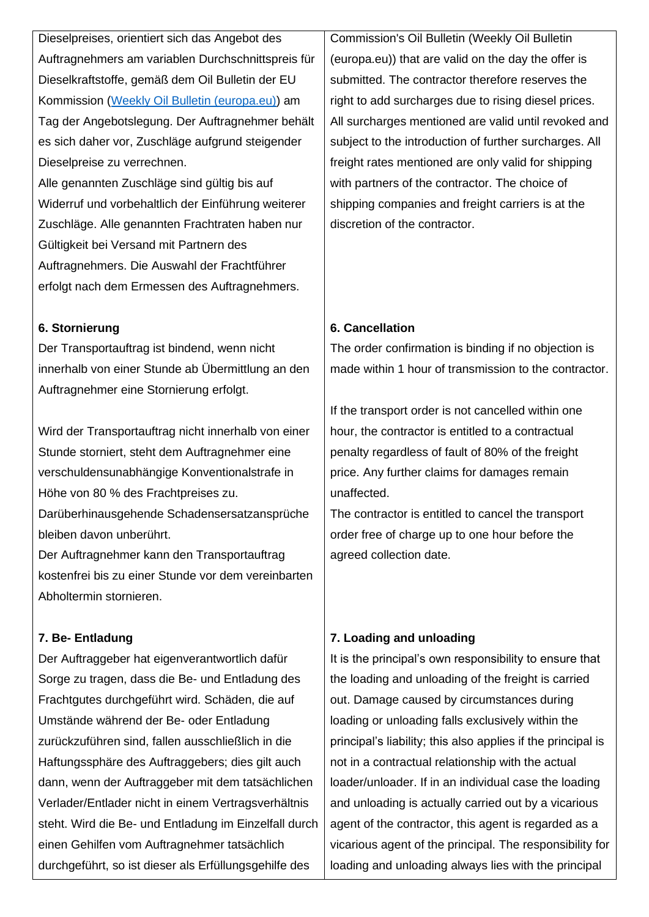Dieselpreises, orientiert sich das Angebot des Auftragnehmers am variablen Durchschnittspreis für Dieselkraftstoffe, gemäß dem Oil Bulletin der EU Kommission [\(Weekly Oil Bulletin \(europa.eu\)\)](https://energy.ec.europa.eu/data-and-analysis/weekly-oil-bulletin_en) am Tag der Angebotslegung. Der Auftragnehmer behält es sich daher vor, Zuschläge aufgrund steigender Dieselpreise zu verrechnen.

Alle genannten Zuschläge sind gültig bis auf Widerruf und vorbehaltlich der Einführung weiterer Zuschläge. Alle genannten Frachtraten haben nur Gültigkeit bei Versand mit Partnern des Auftragnehmers. Die Auswahl der Frachtführer erfolgt nach dem Ermessen des Auftragnehmers.

### **6. Stornierung**

Der Transportauftrag ist bindend, wenn nicht innerhalb von einer Stunde ab Übermittlung an den Auftragnehmer eine Stornierung erfolgt.

Wird der Transportauftrag nicht innerhalb von einer Stunde storniert, steht dem Auftragnehmer eine verschuldensunabhängige Konventionalstrafe in Höhe von 80 % des Frachtpreises zu.

Darüberhinausgehende Schadensersatzansprüche bleiben davon unberührt.

Der Auftragnehmer kann den Transportauftrag kostenfrei bis zu einer Stunde vor dem vereinbarten Abholtermin stornieren.

## **7. Be- Entladung**

Der Auftraggeber hat eigenverantwortlich dafür Sorge zu tragen, dass die Be- und Entladung des Frachtgutes durchgeführt wird. Schäden, die auf Umstände während der Be- oder Entladung zurückzuführen sind, fallen ausschließlich in die Haftungssphäre des Auftraggebers; dies gilt auch dann, wenn der Auftraggeber mit dem tatsächlichen Verlader/Entlader nicht in einem Vertragsverhältnis steht. Wird die Be- und Entladung im Einzelfall durch einen Gehilfen vom Auftragnehmer tatsächlich durchgeführt, so ist dieser als Erfüllungsgehilfe des

Commission's Oil Bulletin (Weekly Oil Bulletin (europa.eu)) that are valid on the day the offer is submitted. The contractor therefore reserves the right to add surcharges due to rising diesel prices. All surcharges mentioned are valid until revoked and subject to the introduction of further surcharges. All freight rates mentioned are only valid for shipping with partners of the contractor. The choice of shipping companies and freight carriers is at the discretion of the contractor.

## **6. Cancellation**

The order confirmation is binding if no objection is made within 1 hour of transmission to the contractor.

If the transport order is not cancelled within one hour, the contractor is entitled to a contractual penalty regardless of fault of 80% of the freight price. Any further claims for damages remain unaffected.

The contractor is entitled to cancel the transport order free of charge up to one hour before the agreed collection date.

# **7. Loading and unloading**

It is the principal's own responsibility to ensure that the loading and unloading of the freight is carried out. Damage caused by circumstances during loading or unloading falls exclusively within the principal's liability; this also applies if the principal is not in a contractual relationship with the actual loader/unloader. If in an individual case the loading and unloading is actually carried out by a vicarious agent of the contractor, this agent is regarded as a vicarious agent of the principal. The responsibility for loading and unloading always lies with the principal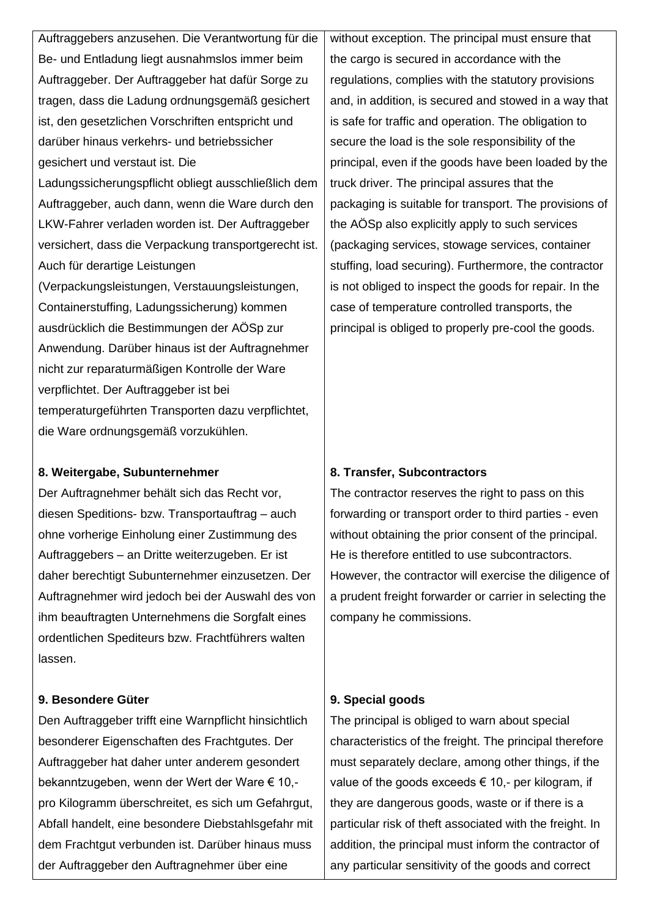Auftraggebers anzusehen. Die Verantwortung für die Be- und Entladung liegt ausnahmslos immer beim Auftraggeber. Der Auftraggeber hat dafür Sorge zu tragen, dass die Ladung ordnungsgemäß gesichert ist, den gesetzlichen Vorschriften entspricht und darüber hinaus verkehrs- und betriebssicher gesichert und verstaut ist. Die Ladungssicherungspflicht obliegt ausschließlich dem Auftraggeber, auch dann, wenn die Ware durch den LKW-Fahrer verladen worden ist. Der Auftraggeber versichert, dass die Verpackung transportgerecht ist. Auch für derartige Leistungen (Verpackungsleistungen, Verstauungsleistungen, Containerstuffing, Ladungssicherung) kommen ausdrücklich die Bestimmungen der AÖSp zur Anwendung. Darüber hinaus ist der Auftragnehmer nicht zur reparaturmäßigen Kontrolle der Ware verpflichtet. Der Auftraggeber ist bei temperaturgeführten Transporten dazu verpflichtet, die Ware ordnungsgemäß vorzukühlen.

#### **8. Weitergabe, Subunternehmer**

Der Auftragnehmer behält sich das Recht vor, diesen Speditions- bzw. Transportauftrag – auch ohne vorherige Einholung einer Zustimmung des Auftraggebers – an Dritte weiterzugeben. Er ist daher berechtigt Subunternehmer einzusetzen. Der Auftragnehmer wird jedoch bei der Auswahl des von ihm beauftragten Unternehmens die Sorgfalt eines ordentlichen Spediteurs bzw. Frachtführers walten lassen.

## **9. Besondere Güter**

Den Auftraggeber trifft eine Warnpflicht hinsichtlich besonderer Eigenschaften des Frachtgutes. Der Auftraggeber hat daher unter anderem gesondert bekanntzugeben, wenn der Wert der Ware € 10, pro Kilogramm überschreitet, es sich um Gefahrgut, Abfall handelt, eine besondere Diebstahlsgefahr mit dem Frachtgut verbunden ist. Darüber hinaus muss der Auftraggeber den Auftragnehmer über eine

without exception. The principal must ensure that the cargo is secured in accordance with the regulations, complies with the statutory provisions and, in addition, is secured and stowed in a way that is safe for traffic and operation. The obligation to secure the load is the sole responsibility of the principal, even if the goods have been loaded by the truck driver. The principal assures that the packaging is suitable for transport. The provisions of the AÖSp also explicitly apply to such services (packaging services, stowage services, container stuffing, load securing). Furthermore, the contractor is not obliged to inspect the goods for repair. In the case of temperature controlled transports, the principal is obliged to properly pre-cool the goods.

#### **8. Transfer, Subcontractors**

The contractor reserves the right to pass on this forwarding or transport order to third parties - even without obtaining the prior consent of the principal. He is therefore entitled to use subcontractors. However, the contractor will exercise the diligence of a prudent freight forwarder or carrier in selecting the company he commissions.

#### **9. Special goods**

The principal is obliged to warn about special characteristics of the freight. The principal therefore must separately declare, among other things, if the value of the goods exceeds  $\epsilon$  10.- per kilogram, if they are dangerous goods, waste or if there is a particular risk of theft associated with the freight. In addition, the principal must inform the contractor of any particular sensitivity of the goods and correct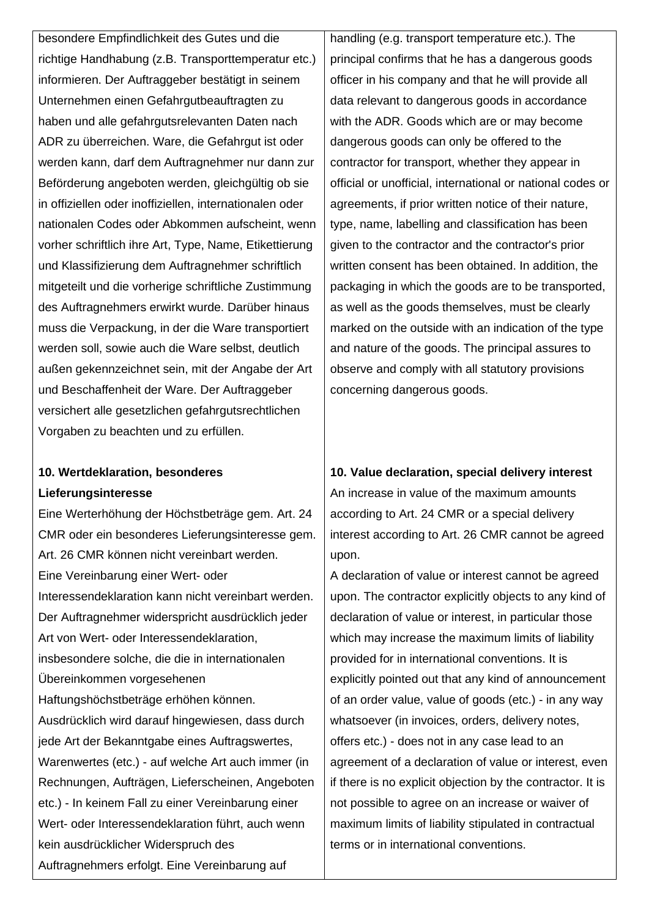besondere Empfindlichkeit des Gutes und die richtige Handhabung (z.B. Transporttemperatur etc.) informieren. Der Auftraggeber bestätigt in seinem Unternehmen einen Gefahrgutbeauftragten zu haben und alle gefahrgutsrelevanten Daten nach ADR zu überreichen. Ware, die Gefahrgut ist oder werden kann, darf dem Auftragnehmer nur dann zur Beförderung angeboten werden, gleichgültig ob sie in offiziellen oder inoffiziellen, internationalen oder nationalen Codes oder Abkommen aufscheint, wenn vorher schriftlich ihre Art, Type, Name, Etikettierung und Klassifizierung dem Auftragnehmer schriftlich mitgeteilt und die vorherige schriftliche Zustimmung des Auftragnehmers erwirkt wurde. Darüber hinaus muss die Verpackung, in der die Ware transportiert werden soll, sowie auch die Ware selbst, deutlich außen gekennzeichnet sein, mit der Angabe der Art und Beschaffenheit der Ware. Der Auftraggeber versichert alle gesetzlichen gefahrgutsrechtlichen Vorgaben zu beachten und zu erfüllen.

# **10. Wertdeklaration, besonderes Lieferungsinteresse**

Eine Werterhöhung der Höchstbeträge gem. Art. 24 CMR oder ein besonderes Lieferungsinteresse gem. Art. 26 CMR können nicht vereinbart werden. Eine Vereinbarung einer Wert- oder Interessendeklaration kann nicht vereinbart werden. Der Auftragnehmer widerspricht ausdrücklich jeder Art von Wert- oder Interessendeklaration, insbesondere solche, die die in internationalen Übereinkommen vorgesehenen Haftungshöchstbeträge erhöhen können. Ausdrücklich wird darauf hingewiesen, dass durch jede Art der Bekanntgabe eines Auftragswertes, Warenwertes (etc.) - auf welche Art auch immer (in Rechnungen, Aufträgen, Lieferscheinen, Angeboten etc.) - In keinem Fall zu einer Vereinbarung einer Wert- oder Interessendeklaration führt, auch wenn kein ausdrücklicher Widerspruch des Auftragnehmers erfolgt. Eine Vereinbarung auf

handling (e.g. transport temperature etc.). The principal confirms that he has a dangerous goods officer in his company and that he will provide all data relevant to dangerous goods in accordance with the ADR. Goods which are or may become dangerous goods can only be offered to the contractor for transport, whether they appear in official or unofficial, international or national codes or agreements, if prior written notice of their nature, type, name, labelling and classification has been given to the contractor and the contractor's prior written consent has been obtained. In addition, the packaging in which the goods are to be transported, as well as the goods themselves, must be clearly marked on the outside with an indication of the type and nature of the goods. The principal assures to observe and comply with all statutory provisions concerning dangerous goods.

**10. Value declaration, special delivery interest** An increase in value of the maximum amounts according to Art. 24 CMR or a special delivery interest according to Art. 26 CMR cannot be agreed upon.

A declaration of value or interest cannot be agreed upon. The contractor explicitly objects to any kind of declaration of value or interest, in particular those which may increase the maximum limits of liability provided for in international conventions. It is explicitly pointed out that any kind of announcement of an order value, value of goods (etc.) - in any way whatsoever (in invoices, orders, delivery notes, offers etc.) - does not in any case lead to an agreement of a declaration of value or interest, even if there is no explicit objection by the contractor. It is not possible to agree on an increase or waiver of maximum limits of liability stipulated in contractual terms or in international conventions.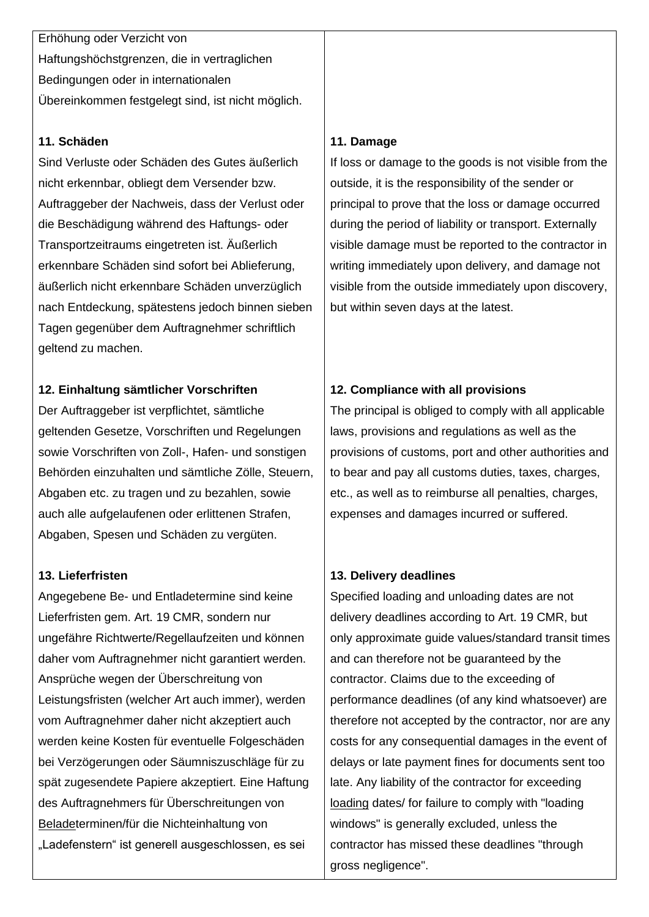Erhöhung oder Verzicht von Haftungshöchstgrenzen, die in vertraglichen Bedingungen oder in internationalen Übereinkommen festgelegt sind, ist nicht möglich.

### **11. Schäden**

Sind Verluste oder Schäden des Gutes äußerlich nicht erkennbar, obliegt dem Versender bzw. Auftraggeber der Nachweis, dass der Verlust oder die Beschädigung während des Haftungs- oder Transportzeitraums eingetreten ist. Äußerlich erkennbare Schäden sind sofort bei Ablieferung, äußerlich nicht erkennbare Schäden unverzüglich nach Entdeckung, spätestens jedoch binnen sieben Tagen gegenüber dem Auftragnehmer schriftlich geltend zu machen.

## **12. Einhaltung sämtlicher Vorschriften**

Der Auftraggeber ist verpflichtet, sämtliche geltenden Gesetze, Vorschriften und Regelungen sowie Vorschriften von Zoll-, Hafen- und sonstigen Behörden einzuhalten und sämtliche Zölle, Steuern, Abgaben etc. zu tragen und zu bezahlen, sowie auch alle aufgelaufenen oder erlittenen Strafen, Abgaben, Spesen und Schäden zu vergüten.

## **13. Lieferfristen**

Angegebene Be- und Entladetermine sind keine Lieferfristen gem. Art. 19 CMR, sondern nur ungefähre Richtwerte/Regellaufzeiten und können daher vom Auftragnehmer nicht garantiert werden. Ansprüche wegen der Überschreitung von Leistungsfristen (welcher Art auch immer), werden vom Auftragnehmer daher nicht akzeptiert auch werden keine Kosten für eventuelle Folgeschäden bei Verzögerungen oder Säumniszuschläge für zu spät zugesendete Papiere akzeptiert. Eine Haftung des Auftragnehmers für Überschreitungen von Beladeterminen/für die Nichteinhaltung von "Ladefenstern" ist generell ausgeschlossen, es sei

## **11. Damage**

If loss or damage to the goods is not visible from the outside, it is the responsibility of the sender or principal to prove that the loss or damage occurred during the period of liability or transport. Externally visible damage must be reported to the contractor in writing immediately upon delivery, and damage not visible from the outside immediately upon discovery, but within seven days at the latest.

# **12. Compliance with all provisions**

The principal is obliged to comply with all applicable laws, provisions and regulations as well as the provisions of customs, port and other authorities and to bear and pay all customs duties, taxes, charges, etc., as well as to reimburse all penalties, charges, expenses and damages incurred or suffered.

## **13. Delivery deadlines**

Specified loading and unloading dates are not delivery deadlines according to Art. 19 CMR, but only approximate guide values/standard transit times and can therefore not be guaranteed by the contractor. Claims due to the exceeding of performance deadlines (of any kind whatsoever) are therefore not accepted by the contractor, nor are any costs for any consequential damages in the event of delays or late payment fines for documents sent too late. Any liability of the contractor for exceeding loading dates/ for failure to comply with "loading windows" is generally excluded, unless the contractor has missed these deadlines "through gross negligence".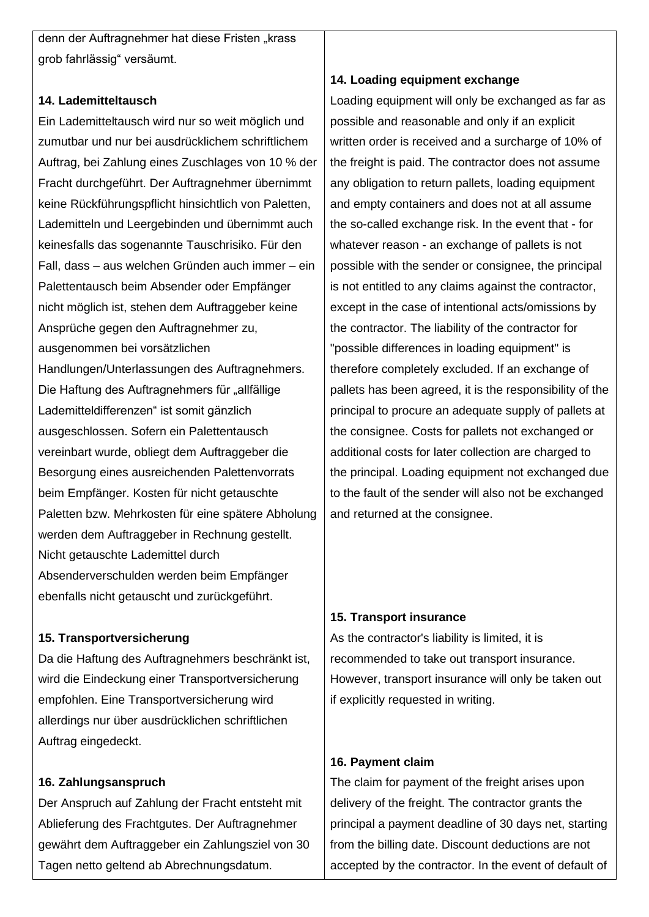denn der Auftragnehmer hat diese Fristen "krass grob fahrlässig" versäumt.

#### **14. Lademitteltausch**

Ein Lademitteltausch wird nur so weit möglich und zumutbar und nur bei ausdrücklichem schriftlichem Auftrag, bei Zahlung eines Zuschlages von 10 % der Fracht durchgeführt. Der Auftragnehmer übernimmt keine Rückführungspflicht hinsichtlich von Paletten, Lademitteln und Leergebinden und übernimmt auch keinesfalls das sogenannte Tauschrisiko. Für den Fall, dass – aus welchen Gründen auch immer – ein Palettentausch beim Absender oder Empfänger nicht möglich ist, stehen dem Auftraggeber keine Ansprüche gegen den Auftragnehmer zu, ausgenommen bei vorsätzlichen Handlungen/Unterlassungen des Auftragnehmers. Die Haftung des Auftragnehmers für "allfällige Lademitteldifferenzen" ist somit gänzlich ausgeschlossen. Sofern ein Palettentausch vereinbart wurde, obliegt dem Auftraggeber die Besorgung eines ausreichenden Palettenvorrats beim Empfänger. Kosten für nicht getauschte Paletten bzw. Mehrkosten für eine spätere Abholung werden dem Auftraggeber in Rechnung gestellt. Nicht getauschte Lademittel durch Absenderverschulden werden beim Empfänger ebenfalls nicht getauscht und zurückgeführt.

## **15. Transportversicherung**

Da die Haftung des Auftragnehmers beschränkt ist, wird die Eindeckung einer Transportversicherung empfohlen. Eine Transportversicherung wird allerdings nur über ausdrücklichen schriftlichen Auftrag eingedeckt.

## **16. Zahlungsanspruch**

Der Anspruch auf Zahlung der Fracht entsteht mit Ablieferung des Frachtgutes. Der Auftragnehmer gewährt dem Auftraggeber ein Zahlungsziel von 30 Tagen netto geltend ab Abrechnungsdatum.

### **14. Loading equipment exchange**

Loading equipment will only be exchanged as far as possible and reasonable and only if an explicit written order is received and a surcharge of 10% of the freight is paid. The contractor does not assume any obligation to return pallets, loading equipment and empty containers and does not at all assume the so-called exchange risk. In the event that - for whatever reason - an exchange of pallets is not possible with the sender or consignee, the principal is not entitled to any claims against the contractor, except in the case of intentional acts/omissions by the contractor. The liability of the contractor for "possible differences in loading equipment" is therefore completely excluded. If an exchange of pallets has been agreed, it is the responsibility of the principal to procure an adequate supply of pallets at the consignee. Costs for pallets not exchanged or additional costs for later collection are charged to the principal. Loading equipment not exchanged due to the fault of the sender will also not be exchanged and returned at the consignee.

## **15. Transport insurance**

As the contractor's liability is limited, it is recommended to take out transport insurance. However, transport insurance will only be taken out if explicitly requested in writing.

#### **16. Payment claim**

The claim for payment of the freight arises upon delivery of the freight. The contractor grants the principal a payment deadline of 30 days net, starting from the billing date. Discount deductions are not accepted by the contractor. In the event of default of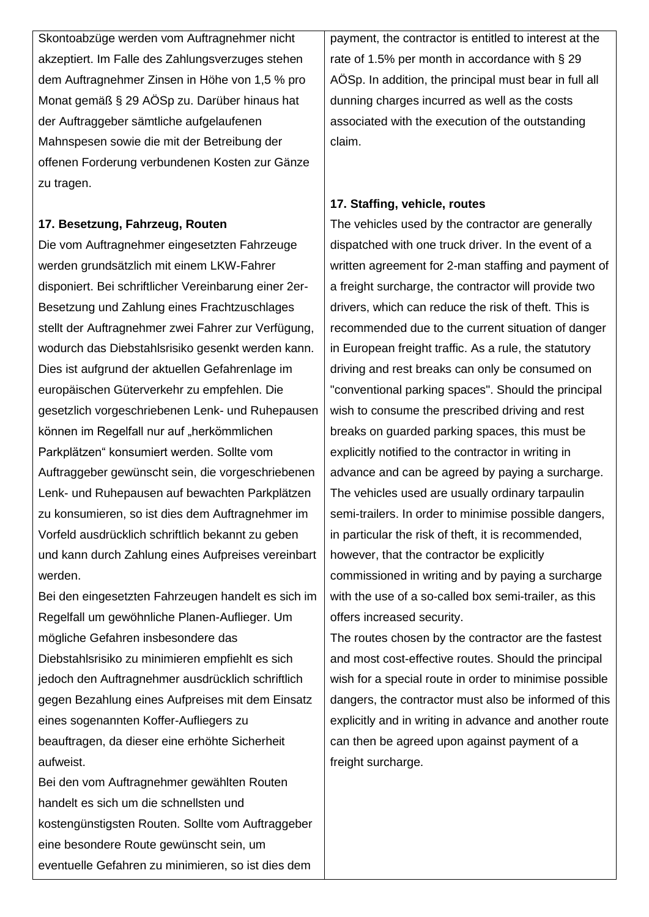Skontoabzüge werden vom Auftragnehmer nicht akzeptiert. Im Falle des Zahlungsverzuges stehen dem Auftragnehmer Zinsen in Höhe von 1,5 % pro Monat gemäß § 29 AÖSp zu. Darüber hinaus hat der Auftraggeber sämtliche aufgelaufenen Mahnspesen sowie die mit der Betreibung der offenen Forderung verbundenen Kosten zur Gänze zu tragen.

### **17. Besetzung, Fahrzeug, Routen**

Die vom Auftragnehmer eingesetzten Fahrzeuge werden grundsätzlich mit einem LKW-Fahrer disponiert. Bei schriftlicher Vereinbarung einer 2er-Besetzung und Zahlung eines Frachtzuschlages stellt der Auftragnehmer zwei Fahrer zur Verfügung, wodurch das Diebstahlsrisiko gesenkt werden kann. Dies ist aufgrund der aktuellen Gefahrenlage im europäischen Güterverkehr zu empfehlen. Die gesetzlich vorgeschriebenen Lenk- und Ruhepausen können im Regelfall nur auf "herkömmlichen Parkplätzen" konsumiert werden. Sollte vom Auftraggeber gewünscht sein, die vorgeschriebenen Lenk- und Ruhepausen auf bewachten Parkplätzen zu konsumieren, so ist dies dem Auftragnehmer im Vorfeld ausdrücklich schriftlich bekannt zu geben und kann durch Zahlung eines Aufpreises vereinbart werden.

Bei den eingesetzten Fahrzeugen handelt es sich im Regelfall um gewöhnliche Planen-Auflieger. Um mögliche Gefahren insbesondere das Diebstahlsrisiko zu minimieren empfiehlt es sich jedoch den Auftragnehmer ausdrücklich schriftlich gegen Bezahlung eines Aufpreises mit dem Einsatz eines sogenannten Koffer-Aufliegers zu beauftragen, da dieser eine erhöhte Sicherheit aufweist.

Bei den vom Auftragnehmer gewählten Routen handelt es sich um die schnellsten und kostengünstigsten Routen. Sollte vom Auftraggeber eine besondere Route gewünscht sein, um eventuelle Gefahren zu minimieren, so ist dies dem

payment, the contractor is entitled to interest at the rate of 1.5% per month in accordance with § 29 AÖSp. In addition, the principal must bear in full all dunning charges incurred as well as the costs associated with the execution of the outstanding claim.

## **17. Staffing, vehicle, routes**

The vehicles used by the contractor are generally dispatched with one truck driver. In the event of a written agreement for 2-man staffing and payment of a freight surcharge, the contractor will provide two drivers, which can reduce the risk of theft. This is recommended due to the current situation of danger in European freight traffic. As a rule, the statutory driving and rest breaks can only be consumed on "conventional parking spaces". Should the principal wish to consume the prescribed driving and rest breaks on guarded parking spaces, this must be explicitly notified to the contractor in writing in advance and can be agreed by paying a surcharge. The vehicles used are usually ordinary tarpaulin semi-trailers. In order to minimise possible dangers, in particular the risk of theft, it is recommended, however, that the contractor be explicitly commissioned in writing and by paying a surcharge with the use of a so-called box semi-trailer, as this offers increased security.

The routes chosen by the contractor are the fastest and most cost-effective routes. Should the principal wish for a special route in order to minimise possible dangers, the contractor must also be informed of this explicitly and in writing in advance and another route can then be agreed upon against payment of a freight surcharge.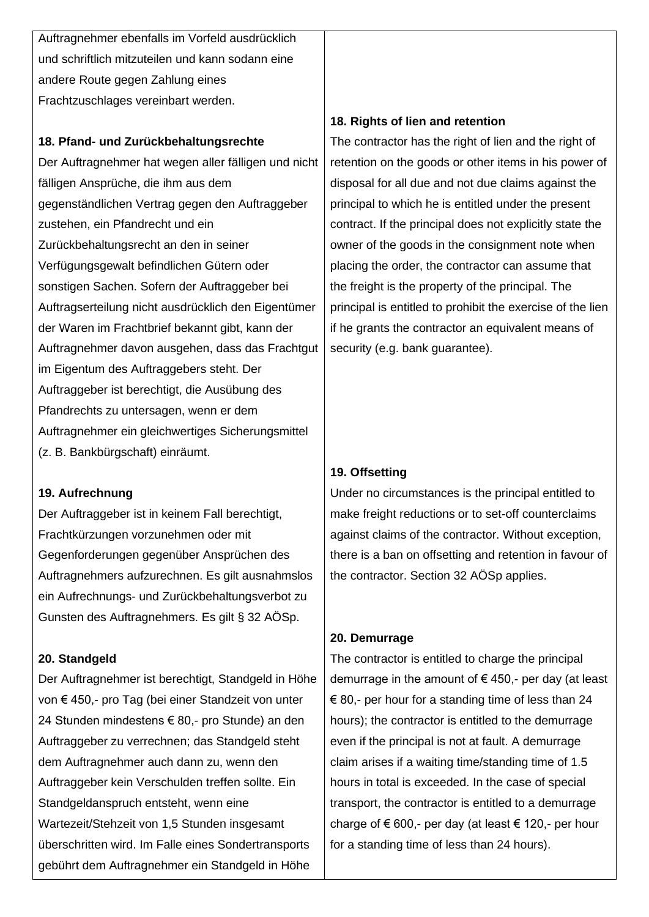Auftragnehmer ebenfalls im Vorfeld ausdrücklich und schriftlich mitzuteilen und kann sodann eine andere Route gegen Zahlung eines Frachtzuschlages vereinbart werden.

#### **18. Pfand- und Zurückbehaltungsrechte**

Der Auftragnehmer hat wegen aller fälligen und nicht fälligen Ansprüche, die ihm aus dem gegenständlichen Vertrag gegen den Auftraggeber zustehen, ein Pfandrecht und ein Zurückbehaltungsrecht an den in seiner Verfügungsgewalt befindlichen Gütern oder sonstigen Sachen. Sofern der Auftraggeber bei Auftragserteilung nicht ausdrücklich den Eigentümer der Waren im Frachtbrief bekannt gibt, kann der Auftragnehmer davon ausgehen, dass das Frachtgut im Eigentum des Auftraggebers steht. Der Auftraggeber ist berechtigt, die Ausübung des Pfandrechts zu untersagen, wenn er dem Auftragnehmer ein gleichwertiges Sicherungsmittel (z. B. Bankbürgschaft) einräumt.

#### **19. Aufrechnung**

Der Auftraggeber ist in keinem Fall berechtigt, Frachtkürzungen vorzunehmen oder mit Gegenforderungen gegenüber Ansprüchen des Auftragnehmers aufzurechnen. Es gilt ausnahmslos ein Aufrechnungs- und Zurückbehaltungsverbot zu Gunsten des Auftragnehmers. Es gilt § 32 AÖSp.

## **20. Standgeld**

Der Auftragnehmer ist berechtigt, Standgeld in Höhe von € 450,- pro Tag (bei einer Standzeit von unter 24 Stunden mindestens € 80,- pro Stunde) an den Auftraggeber zu verrechnen; das Standgeld steht dem Auftragnehmer auch dann zu, wenn den Auftraggeber kein Verschulden treffen sollte. Ein Standgeldanspruch entsteht, wenn eine Wartezeit/Stehzeit von 1,5 Stunden insgesamt überschritten wird. Im Falle eines Sondertransports gebührt dem Auftragnehmer ein Standgeld in Höhe

### **18. Rights of lien and retention**

The contractor has the right of lien and the right of retention on the goods or other items in his power of disposal for all due and not due claims against the principal to which he is entitled under the present contract. If the principal does not explicitly state the owner of the goods in the consignment note when placing the order, the contractor can assume that the freight is the property of the principal. The principal is entitled to prohibit the exercise of the lien if he grants the contractor an equivalent means of security (e.g. bank guarantee).

## **19. Offsetting**

Under no circumstances is the principal entitled to make freight reductions or to set-off counterclaims against claims of the contractor. Without exception, there is a ban on offsetting and retention in favour of the contractor. Section 32 AÖSp applies.

#### **20. Demurrage**

The contractor is entitled to charge the principal demurrage in the amount of  $\epsilon$  450,- per day (at least  $\epsilon$  80,- per hour for a standing time of less than 24 hours); the contractor is entitled to the demurrage even if the principal is not at fault. A demurrage claim arises if a waiting time/standing time of 1.5 hours in total is exceeded. In the case of special transport, the contractor is entitled to a demurrage charge of  $\epsilon$  600,- per day (at least  $\epsilon$  120,- per hour for a standing time of less than 24 hours).